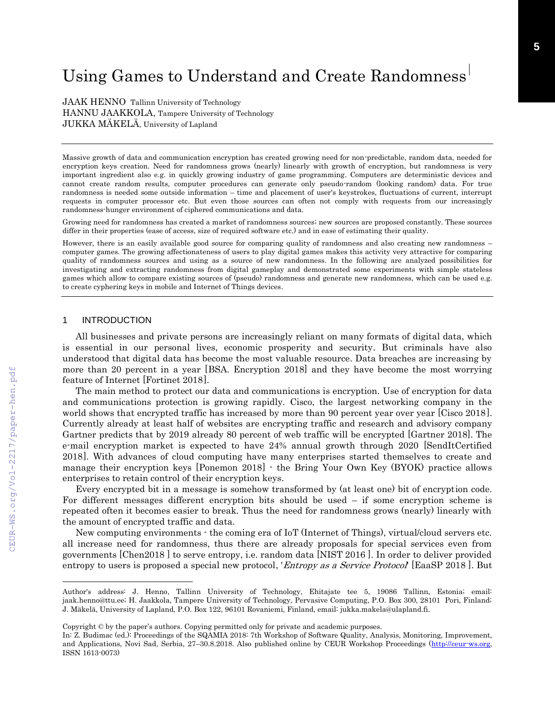# Using Games to Understand and Create Randomness

JAAK HENNO Tallinn University of Technology HANNU JAAKKOLA, Tampere University of Technology JUKKA MÄKELÄ, University of Lapland

Massive growth of data and communication encryption has created growing need for non-predictable, random data, needed for encryption keys creation. Need for randomness grows (nearly) linearly with growth of encryption, but randomness is very important ingredient also e.g. in quickly growing industry of game programming. Computers are deterministic devices and cannot create random results, computer procedures can generate only pseudo-random (looking random) data. For true randomness is needed some outside information – time and placement of user's keystrokes, fluctuations of current, interrupt requests in computer processor etc. But even those sources can often not comply with requests from our increasingly randomness-hunger environment of ciphered communications and data.

Growing need for randomness has created a market of randomness sources; new sources are proposed constantly. These sources differ in their properties (ease of access, size of required software etc.) and in ease of estimating their quality.

However, there is an easily available good source for comparing quality of randomness and also creating new randomness – computer games. The growing affectionateness of users to play digital games makes this activity very attractive for comparing quality of randomness sources and using as a source of new randomness. In the following are analyzed possibilities for investigating and extracting randomness from digital gameplay and demonstrated some experiments with simple stateless games which allow to compare existing sources of (pseudo) randomness and generate new randomness, which can be used e.g. to create cyphering keys in mobile and Internet of Things devices.

#### 1 INTRODUCTION

All businesses and private persons are increasingly reliant on many formats of digital data, which is essential in our personal lives, economic prosperity and security. But criminals have also understood that digital data has become the most valuable resource. Data breaches are increasing by more than 20 percent in a year [BSA. Encryption 2018] and they have become the most worrying feature of Internet [Fortinet 2018].

The main method to protect our data and communications is encryption. Use of encryption for data and communications protection is growing rapidly. Cisco, the largest networking company in the world shows that encrypted traffic has increased by more than 90 percent year over year [Cisco 2018]. Currently already at least half of websites are encrypting traffic and research and advisory company Gartner predicts that by 2019 already 80 percent of web traffic will be encrypted [Gartner 2018]. The e-mail encryption market is expected to have 24% annual growth through 2020 [SendItCertified 2018. With advances of cloud computing have many enterprises started themselves to create and manage their encryption keys [Ponemon 2018]  $\cdot$  the Bring Your Own Key (BYOK) practice allows enterprises to retain control of their encryption keys.

Every encrypted bit in a message is somehow transformed by (at least one) bit of encryption code. For different messages different encryption bits should be used – if some encryption scheme is repeated often it becomes easier to break. Thus the need for randomness grows (nearly) linearly with the amount of encrypted traffic and data.

New computing environments - the coming era of IoT (Internet of Things), virtual/cloud servers etc. all increase need for randomness, thus there are already proposals for special services even from governments [Chen2018 ] to serve entropy, i.e. random data [NIST 2016 ]. In order to deliver provided entropy to users is proposed a special new protocol, '*Entropy as a Service Protocol*' [EaaSP 2018]. But

 $\overline{a}$ 

Author's address: J. Henno, Tallinn University of Technology, Ehitajate tee 5, 19086 Tallinn, Estonia; email: jaak.henno@ttu.ee; H. Jaakkola, Tampere University of Technology, Pervasive Computing, P.O. Box 300, 28101 Pori, Finland; J. Mäkelä, University of Lapland, P.O. Box 122, 96101 Rovaniemi, Finland, email: jukka.makela@ulapland.fi.

Copyright © by the paper's authors. Copying permitted only for private and academic purposes.

In: Z. Budimac (ed.): Proceedings of the SQAMIA 2018: 7th Workshop of Software Quality, Analysis, Monitoring, Improvement, and Applications, Novi Sad, Serbia, 27-30.8.2018. Also published online by CEUR Workshop Proceedings [\(http://ceur-ws.org,](http://ceur-ws.org/) ISSN 1613-0073)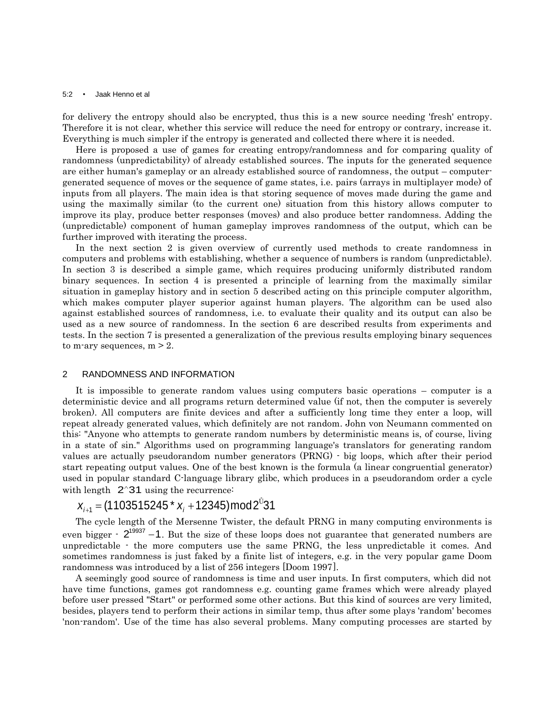#### 5:2 • Jaak Henno et al

for delivery the entropy should also be encrypted, thus this is a new source needing 'fresh' entropy. Therefore it is not clear, whether this service will reduce the need for entropy or contrary, increase it. Everything is much simpler if the entropy is generated and collected there where it is needed.

Here is proposed a use of games for creating entropy/randomness and for comparing quality of randomness (unpredictability) of already established sources. The inputs for the generated sequence are either human's gameplay or an already established source of randomness, the output – computergenerated sequence of moves or the sequence of game states, i.e. pairs (arrays in multiplayer mode) of inputs from all players. The main idea is that storing sequence of moves made during the game and using the maximally similar (to the current one) situation from this history allows computer to improve its play, produce better responses (moves) and also produce better randomness. Adding the (unpredictable) component of human gameplay improves randomness of the output, which can be further improved with iterating the process.

In the next section 2 is given overview of currently used methods to create randomness in computers and problems with establishing, whether a sequence of numbers is random (unpredictable). In section 3 is described a simple game, which requires producing uniformly distributed random binary sequences. In section 4 is presented a principle of learning from the maximally similar situation in gameplay history and in section 5 described acting on this principle computer algorithm, which makes computer player superior against human players. The algorithm can be used also against established sources of randomness, i.e. to evaluate their quality and its output can also be used as a new source of randomness. In the section 6 are described results from experiments and tests. In the section 7 is presented a generalization of the previous results employing binary sequences to m-ary sequences,  $m > 2$ .

#### 2 RANDOMNESS AND INFORMATION

It is impossible to generate random values using computers basic operations – computer is a deterministic device and all programs return determined value (if not, then the computer is severely broken). All computers are finite devices and after a sufficiently long time they enter a loop, will repeat already generated values, which definitely are not random. John von Neumann commented on this: "Anyone who attempts to generate random numbers by deterministic means is, of course, living in a state of sin." Algorithms used on programming language's translators for generating random values are actually pseudorandom number generators (PRNG) - big loops, which after their period start repeating output values. One of the best known is the formula (a linear congruential generator) used in popular standard C-language library glibc, which produces in a pseudorandom order a cycle with length 2^31 using the recurrence:<br> $x_{i+1} = (1103515245 \times x_i + 12345) \text{mod } 2^{0}31$ 

$$
x_{i+1} = (1103515245 * x_i + 12345) \text{mod} 2^{\circ}31
$$

The cycle length of the Mersenne Twister, the default PRNG in many computing environments is even bigger  $\cdot$  2<sup>19937</sup> -1. But the size of these loops does not guarantee that generated numbers are unpredictable - the more computers use the same PRNG, the less unpredictable it comes. And sometimes randomness is just faked by a finite list of integers, e.g. in the very popular game Doom randomness was introduced by a list of  $256$  integers [Doom 1997].

A seemingly good source of randomness is time and user inputs. In first computers, which did not have time functions, games got randomness e.g. counting game frames which were already played before user pressed "Start" or performed some other actions. But this kind of sources are very limited, besides, players tend to perform their actions in similar temp, thus after some plays 'random' becomes 'non-random'. Use of the time has also several problems. Many computing processes are started by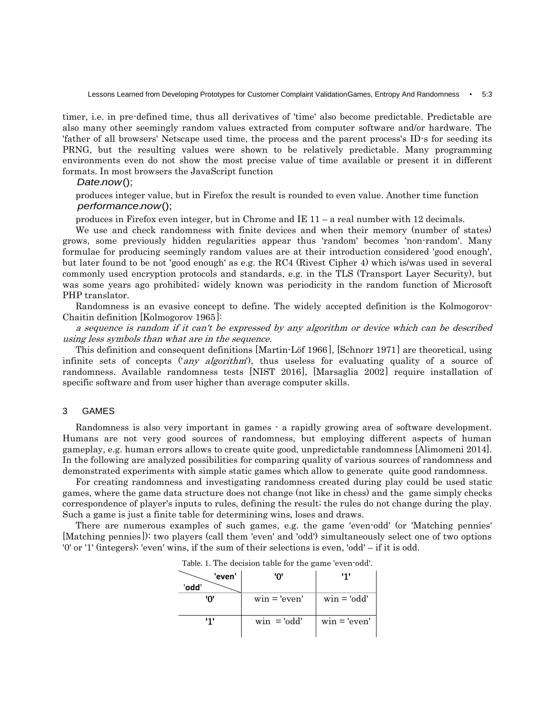timer, i.e. in pre-defined time, thus all derivatives of 'time' also become predictable. Predictable are also many other seemingly random values extracted from computer software and/or hardware. The 'father of all browsers' Netscape used time, the process and the parent process's ID-s for seeding its PRNG, but the resulting values were shown to be relatively predictable. Many programming environments even do not show the most precise value of time available or present it in different formats. In most browsers the JavaScript function

*Date.now();* 

produces integer value, but in Firefox the result is rounded to even value. Another time function *performance.now();* 

produces in Firefox even integer, but in Chrome and IE 11 – a real number with 12 decimals.

We use and check randomness with finite devices and when their memory (number of states) grows, some previously hidden regularities appear thus 'random' becomes 'non-random'. Many formulae for producing seemingly random values are at their introduction considered 'good enough', but later found to be not 'good enough' as e.g. the RC4 (Rivest Cipher 4) which is/was used in several commonly used encryption protocols and standards, e.g. in the TLS (Transport Layer Security), but was some years ago prohibited; widely known was periodicity in the random function of Microsoft PHP translator.

Randomness is an evasive concept to define. The widely accepted definition is the Kolmogorov-Chaitin definition  $[Kolmogorov 1965]$ :

<sup>a</sup> sequence is random if it can't be expressed by any algorithm or device which can be described using less symbols than what are in the sequence.

This definition and consequent definitions  $\left[ \text{Martin-Löf 1966} \right]$ ,  $\left[ \text{Schnorr 1971} \right]$  are theoretical, using infinite sets of concepts ('*any algorithm*'), thus useless for evaluating quality of a source of randomness. Available randomness tests  $[NIST 2016]$ , [Marsaglia 2002] require installation of specific software and from user higher than average computer skills.

#### 3 GAMES

Randomness is also very important in games - a rapidly growing area of software development. Humans are not very good sources of randomness, but employing different aspects of human gameplay, e.g. human errors allows to create quite good, unpredictable randomness [Alimomeni 2014]. In the following are analyzed possibilities for comparing quality of various sources of randomness and demonstrated experiments with simple static games which allow to generate quite good randomness.

For creating randomness and investigating randomness created during play could be used static games, where the game data structure does not change (not like in chess) and the game simply checks correspondence of player's inputs to rules, defining the result; the rules do not change during the play. Such a game is just a finite table for determining wins, loses and draws.

There are numerous examples of such games, e.g. the game 'even-odd' (or 'Matching pennies' [Matching pennies]): two players (call them 'even' and 'odd') simultaneously select one of two options '0' or '1' (integers); 'even' wins, if the sum of their selections is even, 'odd' – if it is odd.

| radic. T. The accusion value for the game even ond. |               |                |  |  |  |  |  |  |  |  |  |  |  |
|-----------------------------------------------------|---------------|----------------|--|--|--|--|--|--|--|--|--|--|--|
| 'even'                                              | יחי           | '1'            |  |  |  |  |  |  |  |  |  |  |  |
| 'odd'                                               |               |                |  |  |  |  |  |  |  |  |  |  |  |
| יחי                                                 | $win='even'$  | $win = 'odd'$  |  |  |  |  |  |  |  |  |  |  |  |
| '''                                                 | $win = 'odd'$ | $win = 'even'$ |  |  |  |  |  |  |  |  |  |  |  |

Table. 1. The decision table for the game 'even-odd'.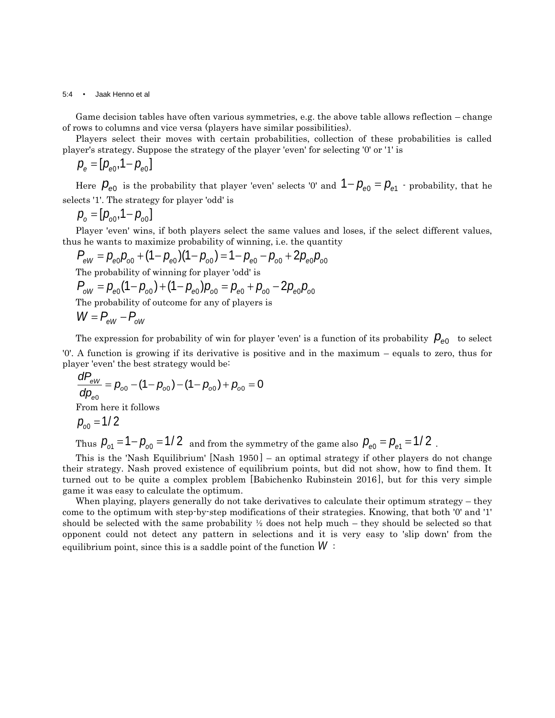5:4 • Jaak Henno et al

Game decision tables have often various symmetries, e.g. the above table allows reflection – change of rows to columns and vice versa (players have similar possibilities).

Players select their moves with certain probabilities, collection of these probabilities is called player's strategy. Suppose the strategy of the player 'even' for selecting '0' or '1' is

$$
p_{\rm e} = [p_{\rm e0}, 1-p_{\rm e0}]
$$

Here  $P_{e0}$  is the probability that player 'even' selects '0' and  $1 - P_{e0} = P_{e1}$  - probability, that he selects '1'. The strategy for player 'odd' is

$$
p_{o} = [p_{o0}, 1-p_{o0}]
$$

Player 'even' wins, if both players select the same values and loses, if the select different values, is he wants to maximize probability of winning, i.e. the quantity  $P_{eW} = p_{e0}p_{00} + (1-p_{e0})(1-p_{00}) = 1-p_{e0} - p_{00} + 2p_{e0}$ thus he wants to maximize probability of winning, i.e. the quantity

$$
P_{\text{eV}} = p_{\text{e0}} p_{\text{o0}} + (1 - p_{\text{e0}}) (1 - p_{\text{o0}}) = 1 - p_{\text{e0}} - p_{\text{o0}} + 2 p_{\text{e0}} p_{\text{o0}}
$$

The probability of winning for player 'odd' is

$$
P_{\text{eW}} - P_{\text{e0}}P_{\text{o0}} + (1 - P_{\text{e0}})(1 - P_{\text{o0}}) - 1 - P_{\text{e0}} - P_{\text{o0}} + 2P_{\text{e0}}P_{\text{e0}}
$$
  
The probability of winning for player 'odd' is  

$$
P_{\text{oW}} = P_{\text{e0}}(1 - P_{\text{o0}}) + (1 - P_{\text{e0}})P_{\text{o0}} = P_{\text{e0}} + P_{\text{o0}} - 2P_{\text{e0}}P_{\text{o0}}
$$

The probability of outcome for any of players is

$$
W = P_{\rm eW} - P_{\rm oW}
$$

The expression for probability of win for player 'even' is a function of its probability  $\rho_{\scriptscriptstyle{\theta}0}^{\scriptscriptstyle{-}}$  to select '0'. A function is growing if its derivative is positive and in the maximum – equals to zero, thus for

player 'even' the best strategy would be:  
\n
$$
\frac{dP_{ew}}{dp_{\text{e0}}} = p_{\text{o0}} - (1 - p_{\text{o0}}) - (1 - p_{\text{o0}}) + p_{\text{o0}} = 0
$$
\nFrom here it follows  
\n
$$
p_{\text{o0}} = 1/2
$$

Thus  $P_{\text{o}1} = 1 - P_{\text{o}0} = 1/2$  and from the symmetry of the game also  $P_{\text{e}0} = P_{\text{e}1} = 1/2$  .

This is the 'Nash Equilibrium'  $[Nash 1950]$  – an optimal strategy if other players do not change their strategy. Nash proved existence of equilibrium points, but did not show, how to find them. It turned out to be quite a complex problem [Babichenko Rubinstein 2016], but for this very simple game it was easy to calculate the optimum.

When playing, players generally do not take derivatives to calculate their optimum strategy – they come to the optimum with step-by-step modifications of their strategies. Knowing, that both '0' and '1' should be selected with the same probability  $\frac{1}{2}$  does not help much – they should be selected so that opponent could not detect any pattern in selections and it is very easy to 'slip down' from the equilibrium point, since this is a saddle point of the function *W* :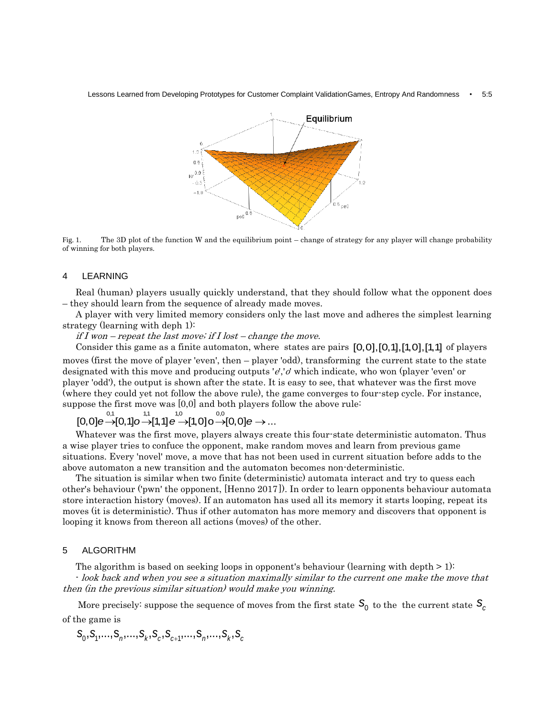Lessons Learned from Developing Prototypes for Customer Complaint ValidationGames, Entropy And Randomness • 5:5



Fig. 1. The 3D plot of the function W and the equilibrium point – change of strategy for any player will change probability of winning for both players.

# 4 LEARNING

Real (human) players usually quickly understand, that they should follow what the opponent does – they should learn from the sequence of already made moves.

A player with very limited memory considers only the last move and adheres the simplest learning strategy (learning with deph 1):

if I won – repeat the last move; if I lost – change the move.

Consider this game as a finite automaton, where states are pairs  $[0,0]$ ,  $[0,1]$ ,  $[1,0]$ ,  $[1,1]$  of players moves (first the move of player 'even', then – player 'odd), transforming the current state to the state designated with this move and producing outputs 'e','o' which indicate, who won (player 'even' or player 'odd'), the output is shown after the state. It is easy to see, that whatever was the first move (where they could yet not follow the above rule), the game converges to four-step cycle. For instance, suppose the first move was [0,0] and both players follow the above rule: pose the first move was [0,0] and both players follo<br>  $[0,0]e \rightarrow [0,1]o \rightarrow [1,1]e \rightarrow [1,0]o \rightarrow [0,0]e \rightarrow ...$ 

Whatever was the first move, players always create this four-state deterministic automaton. Thus a wise player tries to confuce the opponent, make random moves and learn from previous game situations. Every 'novel' move, a move that has not been used in current situation before adds to the above automaton a new transition and the automaton becomes non-deterministic.

The situation is similar when two finite (deterministic) automata interact and try to quess each other's behaviour ('pwn' the opponent, [Henno 2017]). In order to learn opponents behaviour automata store interaction history (moves). If an automaton has used all its memory it starts looping, repeat its moves (it is deterministic). Thus if other automaton has more memory and discovers that opponent is looping it knows from thereon all actions (moves) of the other.

### 5 ALGORITHM

The algorithm is based on seeking loops in opponent's behaviour (learning with depth  $> 1$ ):

- look back and when you see a situation maximally similar to the current one make the move that then (in the previous similar situation) would make you winning.

More precisely: suppose the sequence of moves from the first state  $\, \mathsf{S}_{_{\!0}}\,$  to the  $\,$  the current state  $\, \mathsf{S}_{_{\!C}}\,$ of the game is

he game is  

$$
S_0, S_1, \ldots, S_n, \ldots, S_k, S_c, S_{c+1}, \ldots, S_n, \ldots, S_k, S_c
$$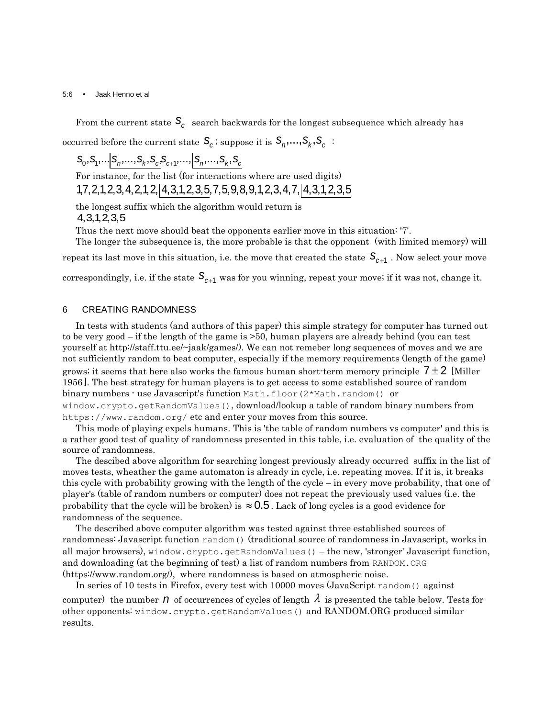#### 5:6 • Jaak Henno et al

From the current state  $\mathcal{S}_c$  search backwards for the longest subsequence which already has  $\alpha$  occurred before the current state  $\mathcal{S}_c$  ; suppose it is  $\mathcal{S}_n, ..., \mathcal{S}_k, \mathcal{S}_c$  :

 $S_0, S_1, \ldots | S_n, \ldots, S_k, S_c, S_{c+1}, \ldots | S_n, \ldots, S_k, S_c$ 

For instance, for the list (for interactions where are used digits)  $S_0, S_1, \ldots S_n, \ldots, S_k, S_c, S_{c+1}, \ldots, S_n, \ldots, S_k, S_c$ <br>For instance, for the list (for interactions where are used digits)<br>1,7,2,1,2,3,4,2,1,2, 4,3,1,2,3,5,7,5,9,8,9,1,2,3,4,7, 4,3,1,2,3,5

the longest suffix which the algorithm would return is 4,3,1,2,3,5

Thus the next move should beat the opponents earlier move in this situation: '7'.

The longer the subsequence is, the more probable is that the opponent (with limited memory) will

repeat its last move in this situation, i.e. the move that created the state  $\ S_{c+1}$  . Now select your move

correspondingly, i.e. if the state  $\, {\bf S}_{c+1} \,$  was for you winning, repeat your move; if it was not, change it.

# 6 CREATING RANDOMNESS

In tests with students (and authors of this paper) this simple strategy for computer has turned out to be very good – if the length of the game is >50, human players are already behind (you can test yourself at http://staff.ttu.ee/~jaak/games/). We can not remeber long sequences of moves and we are not sufficiently random to beat computer, especially if the memory requirements (length of the game) grows; it seems that here also works the famous human short-term memory principle  $7\pm2$  [Miller 1956. The best strategy for human players is to get access to some established source of random binary numbers  $\cdot$  use Javascript's function Math.floor (2\*Math.random() or window.crypto.getRandomValues(), download/lookup a table of random binary numbers from https://www.random.org/ etc and enter your moves from this source.

This mode of playing expels humans. This is 'the table of random numbers vs computer' and this is a rather good test of quality of randomness presented in this table, i.e. evaluation of the quality of the source of randomness.

The descibed above algorithm for searching longest previously already occurred suffix in the list of moves tests, wheather the game automaton is already in cycle, i.e. repeating moves. If it is, it breaks this cycle with probability growing with the length of the cycle – in every move probability, that one of player's (table of random numbers or computer) does not repeat the previously used values (i.e. the probability that the cycle will be broken) is  $\approx 0.5$  . Lack of long cycles is a good evidence for randomness of the sequence.

The described above computer algorithm was tested against three established sources of randomness: Javascript function random() (traditional source of randomness in Javascript, works in all major browsers), window.crypto.getRandomValues() – the new, 'stronger' Javascript function, and downloading (at the beginning of test) a list of random numbers from RANDOM.ORG (https://www.random.org/), where randomness is based on atmospheric noise.

In series of 10 tests in Firefox, every test with 10000 moves (JavaScript random() against computer) the number  $n$  of occurrences of cycles of length  $\lambda$  is presented the table below. Tests for other opponents: window.crypto.getRandomValues() and RANDOM.ORG produced similar results.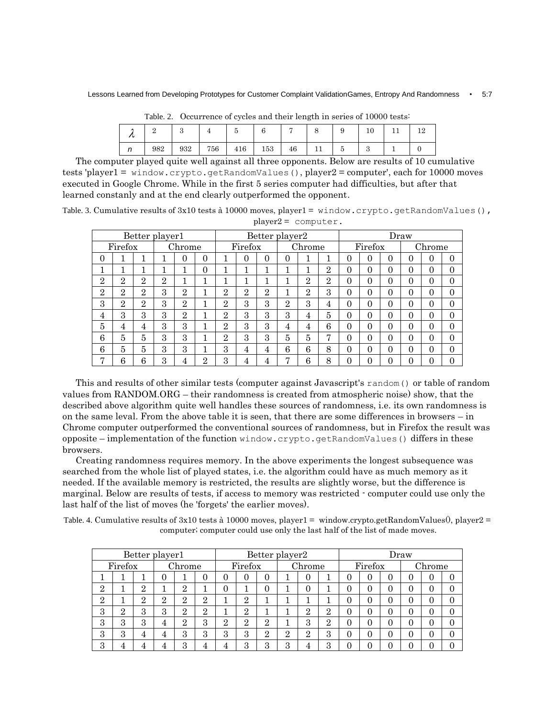|     |     |     |     |     |    |  |  | ΙU |  |  |  |  |  |  |
|-----|-----|-----|-----|-----|----|--|--|----|--|--|--|--|--|--|
| 982 | 932 | 756 | 416 | 153 | 46 |  |  |    |  |  |  |  |  |  |

|  |  | Table. 2. Occurrence of cycles and their length in series of 10000 tests: |  |  |  |  |  |  |  |  |  |  |
|--|--|---------------------------------------------------------------------------|--|--|--|--|--|--|--|--|--|--|
|--|--|---------------------------------------------------------------------------|--|--|--|--|--|--|--|--|--|--|

The computer played quite well against all three opponents. Below are results of 10 cumulative tests 'player1 = window.crypto.getRandomValues(), player2 = computer', each for 10000 moves executed in Google Chrome. While in the first 5 series computer had difficulties, but after that learned constanly and at the end clearly outperformed the opponent.

Table. 3. Cumulative results of 3x10 tests à 10000 moves, player1 = window.crypto.getRandomValues(), uter.

|                |                   |                | Better player1 |                |   | Better player2 |                |                |                |                |                |                | Draw           |          |          |   |          |  |
|----------------|-------------------|----------------|----------------|----------------|---|----------------|----------------|----------------|----------------|----------------|----------------|----------------|----------------|----------|----------|---|----------|--|
|                | Chrome<br>Firefox |                |                |                |   | Firefox        |                | Chrome         |                |                |                | Firefox        |                | Chrome   |          |   |          |  |
| 0              |                   |                |                |                | 0 |                | 0              | 0              | 0              |                |                | 0              | 0              | 0        | $\Omega$ | U | $\Omega$ |  |
|                |                   |                |                |                | 0 |                |                |                |                |                | $\overline{2}$ | $\theta$       | $\theta$       | $\theta$ | $\Omega$ | 0 | $\Omega$ |  |
| $\overline{2}$ | $\overline{2}$    | $\overline{2}$ | $\overline{2}$ |                |   |                |                |                | ٦              | $\overline{2}$ | $\overline{2}$ | $\theta$       | $\theta$       | $\theta$ | $\Omega$ | 0 | $\theta$ |  |
| $\overline{2}$ | $\overline{2}$    | $\mathbf{2}$   | 3              | $\overline{2}$ |   | $\mathbf{2}$   | $\overline{2}$ | $\overline{2}$ |                | $\overline{2}$ | 3              | $\theta$       | $\theta$       | $\theta$ | $\Omega$ | 0 | 0        |  |
| 3              | $\overline{2}$    | $\overline{2}$ | 3              | $\overline{2}$ |   | $\mathbf{2}$   | 3              | 3              | $\overline{2}$ | 3              | 4              | $\theta$       | $\overline{0}$ | $\theta$ | $\Omega$ | 0 | $\Omega$ |  |
| 4              | 3                 | 3              | 3              | $\overline{2}$ |   | $\mathbf{2}$   | 3              | 3              | 3              | 4              | 5              | $\theta$       | $\theta$       | $\theta$ | $\Omega$ | 0 | $\Omega$ |  |
| 5              | 4                 | 4              | 3              | 3              |   | $\overline{2}$ | 3              | 3              | 4              | 4              | 6              | $\overline{0}$ | 0              | $\theta$ | $\theta$ | 0 | $\theta$ |  |
| 6              | 5                 | 5              | 3              | 3              |   | $\mathbf{2}$   | 3              | 3              | 5              | 5              | π              | $\theta$       | $\theta$       | $\theta$ | $\theta$ | 0 | 0        |  |
| 6              | 5                 | 5              | 3              | 3              |   | 3              | 4              | 4              | 6              | 6              | 8              | $\theta$       | $\theta$       | $\theta$ | $\Omega$ | 0 | $\Omega$ |  |
| ┍              | 6                 | 6              | 3              | 4              | റ | 3              | 4              | 4              | $\overline{ }$ | 6              | 8              | 0              | 0              | 0        | $\theta$ | O |          |  |

This and results of other similar tests (computer against Javascript's random() or table of random values from RANDOM.ORG – their randomness is created from atmospheric noise) show, that the described above algorithm quite well handles these sources of randomness, i.e. its own randomness is on the same leval. From the above table it is seen, that there are some differences in browsers – in Chrome computer outperformed the conventional sources of randomness, but in Firefox the result was opposite – implementation of the function window.crypto.getRandomValues() differs in these browsers.

Creating randomness requires memory. In the above experiments the longest subsequence was searched from the whole list of played states, i.e. the algorithm could have as much memory as it needed. If the available memory is restricted, the results are slightly worse, but the difference is marginal. Below are results of tests, if access to memory was restricted - computer could use only the last half of the list of moves (he 'forgets' the earlier moves).

Table. 4. Cumulative results of 3x10 tests à 10000 moves, player1 = window.crypto.getRandomValues(), player2 = computer; computer could use only the last half of the list of made moves.

| Better player1 |                   |                            |               |               |               |          | Better player2 |                |                |               |                |         |                | Draw     |   |                  |  |  |  |
|----------------|-------------------|----------------------------|---------------|---------------|---------------|----------|----------------|----------------|----------------|---------------|----------------|---------|----------------|----------|---|------------------|--|--|--|
|                | Chrome<br>Firefox |                            |               |               |               | Firefox  |                | Chrome         |                |               |                | Firefox |                | Chrome   |   |                  |  |  |  |
|                |                   |                            |               |               |               |          |                | 0              |                | 0             |                | 0       | 0              |          | 0 | 0                |  |  |  |
| $\overline{2}$ |                   | $\Omega$<br>$\overline{ }$ |               | റ<br>↵        |               |          |                | 0              |                | $\Omega$      |                | 0       | 0              |          | 0 |                  |  |  |  |
| $\overline{2}$ |                   | റ<br>◢                     | $\Omega$<br>∠ | റ<br>↵        | $\Omega$      |          | റ<br>∠         |                |                |               |                | 0       | $\overline{0}$ | $\Omega$ | 0 | O                |  |  |  |
| 3              | $\overline{2}$    | 3                          | $\Omega$<br>ð | $\Omega$<br>∠ | $\Omega$<br>◢ |          | റ<br>∠         |                |                | $\Omega$<br>◢ | $\overline{2}$ | 0       | $\overline{0}$ | 0        | 0 | 0                |  |  |  |
| 3              | 3                 | 3                          | 4             | $\Omega$<br>▵ | 3             | $\Omega$ | റ<br>∠         | $\overline{2}$ |                | 3             | $\overline{2}$ | 0       | $\overline{0}$ | 0        | 0 | $\left( \right)$ |  |  |  |
| 3              | 3                 | 4                          | 4             | 3             | 3             | 3        | 3              | $\overline{2}$ | $\overline{2}$ | $\Omega$<br>◢ | 3              | 0       | $\theta$       | 0        | 0 | $\left( \right)$ |  |  |  |
| 3              |                   | 4                          |               | 2<br>. .      |               |          | Q              | 3              | 3              | 4             | 3              | 0       | 0              |          | 0 |                  |  |  |  |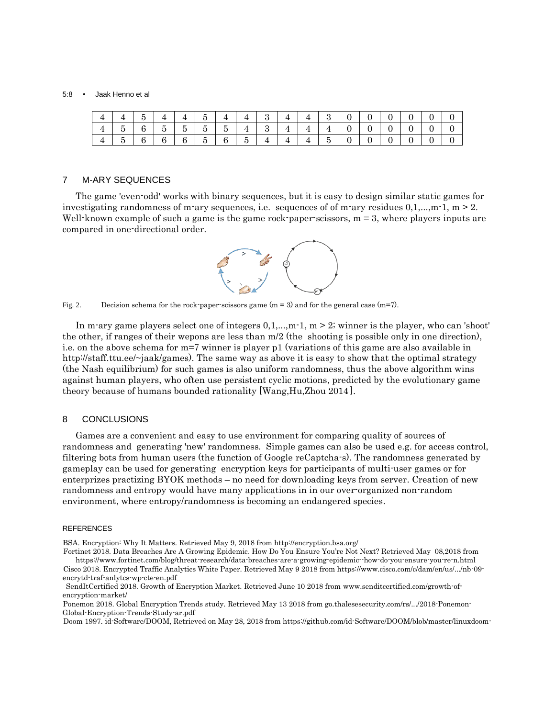#### 5:8 • Jaak Henno et al

|  | $4$   4   5   4   4   5   4   4   3   4   4   3   0   0   0   0   0   0   0                                                |  |  |  |  |  |  |  |  |
|--|----------------------------------------------------------------------------------------------------------------------------|--|--|--|--|--|--|--|--|
|  | $4 \mid 5 \mid 6 \mid 5 \mid 5 \mid 5 \mid 5 \mid 4 \mid 3 \mid 4 \mid 4 \mid 4 \mid 0 \mid 0 \mid 0 \mid 0 \mid 0 \mid 0$ |  |  |  |  |  |  |  |  |
|  | $4 \mid 5 \mid 6 \mid 6 \mid 6 \mid 5 \mid 6 \mid 5 \mid 4 \mid 4 \mid 4 \mid 5 \mid 0 \mid 0 \mid 0 \mid 0 \mid 0$        |  |  |  |  |  |  |  |  |

#### 7 M-ARY SEQUENCES

The game 'even-odd' works with binary sequences, but it is easy to design similar static games for investigating randomness of m-ary sequences, i.e. sequences of of m-ary residues  $0,1,...,m-1$ , m  $> 2$ . Well-known example of such a game is the game rock-paper-scissors,  $m = 3$ , where players inputs are compared in one-directional order.



Fig. 2. Decision schema for the rock-paper-scissors game (m = 3) and for the general case (m=7).

In m-ary game players select one of integers  $0,1,...,m-1$ ,  $m \geq 2$ ; winner is the player, who can 'shoot' the other, if ranges of their wepons are less than m/2 (the shooting is possible only in one direction), i.e. on the above schema for m=7 winner is player p1 (variations of this game are also available in http://staff.ttu.ee/~jaak/games). The same way as above it is easy to show that the optimal strategy (the Nash equilibrium) for such games is also uniform randomness, thus the above algorithm wins against human players, who often use persistent cyclic motions, predicted by the evolutionary game theory because of humans bounded rationality [Wang, Hu, Zhou  $2014$ ].

# 8 CONCLUSIONS

Games are a convenient and easy to use environment for comparing quality of sources of randomness and generating 'new' randomness. Simple games can also be used e.g. for access control, filtering bots from human users (the function of Google reCaptcha-s). The randomness generated by gameplay can be used for generating encryption keys for participants of multi-user games or for enterprizes practizing BYOK methods – no need for downloading keys from server. Creation of new randomness and entropy would have many applications in in our over-organized non-random environment, where entropy/randomness is becoming an endangered species.

#### REFERENCES

<sup>i</sup>BSA. Encryption: Why It Matters. Retrieved May 9, 2018 from http://encryption.bsa.org/

Fortinet 2018. Data Breaches Are A Growing Epidemic. How Do You Ensure You're Not Next? Retrieved May 08,2018 from https://www.fortinet.com/blog/threat-research/data-breaches-are-a-growing-epidemic--how-do-you-ensure-you-re-n.html

Cisco 2018. Encrypted Traffic Analytics White Paper. Retrieved May 9 2018 from https://www.cisco.com/c/dam/en/us/.../nb-09encrytd-traf-anlytcs-wp-cte-en.pdf

SendItCertified 2018. Growth of Encryption Market. Retrieved June 10 2018 from www.senditcertified.com/growth-ofencryption-market/

Ponemon 2018. Global Encryption Trends study. Retrieved May 13 2018 from go.thalesesecurity.com/rs/.../2018-Ponemon-Global-Encryption-Trends-Study-ar.pdf

Doom 1997. id-Software/DOOM, Retrieved on May 28, 2018 from https://github.com/id-Software/DOOM/blob/master/linuxdoom-